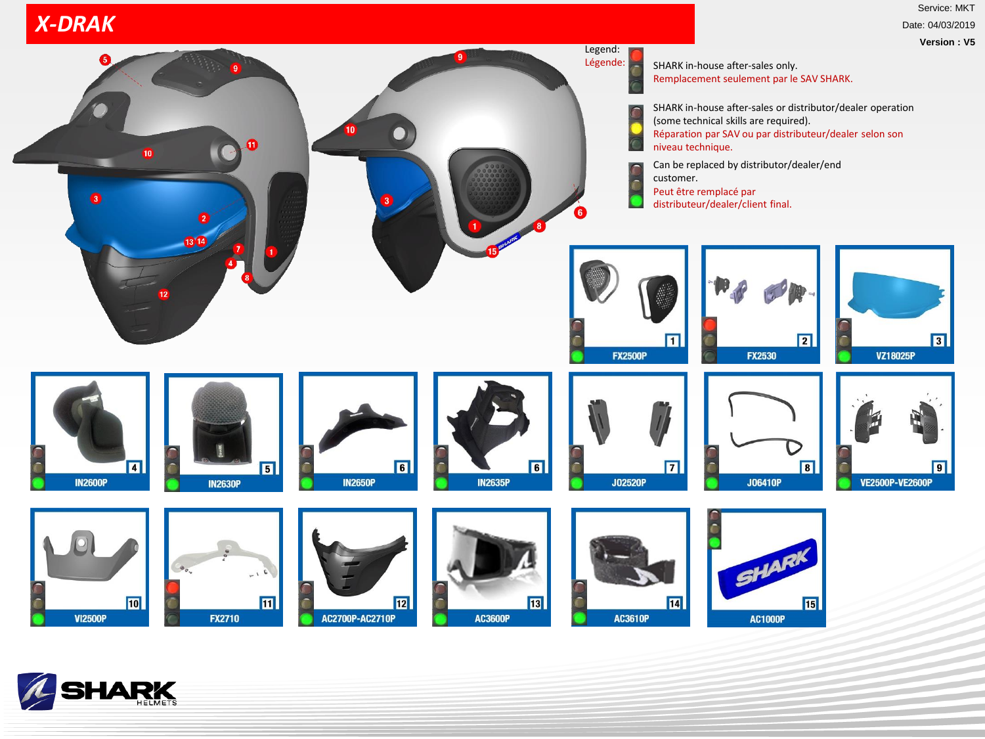## *X-DRAK*

Service: MKT Date: 04/03/2019 **Version : V5**